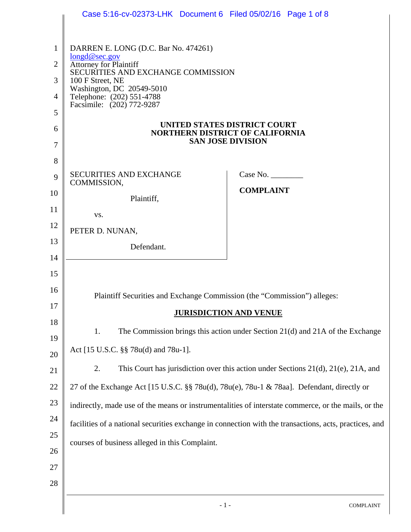|                                                      | Case 5:16-cv-02373-LHK Document 6 Filed 05/02/16 Page 1 of 8                                                                                                                                                                                                            |                                                                                    |  |
|------------------------------------------------------|-------------------------------------------------------------------------------------------------------------------------------------------------------------------------------------------------------------------------------------------------------------------------|------------------------------------------------------------------------------------|--|
| 1<br>$\overline{2}$<br>3<br>$\overline{4}$<br>5<br>6 | DARREN E. LONG (D.C. Bar No. 474261)<br>longd@sec.gov<br><b>Attorney for Plaintiff</b><br>SECURITIES AND EXCHANGE COMMISSION<br>100 F Street, NE<br>Washington, DC 20549-5010<br>Telephone: (202) 551-4788<br>Facsimile: (202) 772-9287<br>UNITED STATES DISTRICT COURT |                                                                                    |  |
| 7                                                    | <b>NORTHERN DISTRICT OF CALIFORNIA</b><br><b>SAN JOSE DIVISION</b>                                                                                                                                                                                                      |                                                                                    |  |
| 8<br>9<br>10                                         | <b>SECURITIES AND EXCHANGE</b><br>COMMISSION,<br>Plaintiff,                                                                                                                                                                                                             | Case No.<br><b>COMPLAINT</b>                                                       |  |
| 11<br>12<br>13<br>14                                 | VS.<br>PETER D. NUNAN,<br>Defendant.                                                                                                                                                                                                                                    |                                                                                    |  |
| 15<br>16<br>17                                       | Plaintiff Securities and Exchange Commission (the "Commission") alleges:<br><b>JURISDICTION AND VENUE</b>                                                                                                                                                               |                                                                                    |  |
| 18<br>19<br>20                                       | 1.<br>Act [15 U.S.C. §§ 78u(d) and 78u-1].                                                                                                                                                                                                                              | The Commission brings this action under Section 21(d) and 21A of the Exchange      |  |
| 21<br>22                                             | 2.<br>27 of the Exchange Act [15 U.S.C. §§ 78u(d), 78u(e), 78u-1 & 78aa]. Defendant, directly or                                                                                                                                                                        | This Court has jurisdiction over this action under Sections 21(d), 21(e), 21A, and |  |
| 23<br>24<br>25                                       | indirectly, made use of the means or instrumentalities of interstate commerce, or the mails, or the<br>facilities of a national securities exchange in connection with the transactions, acts, practices, and<br>courses of business alleged in this Complaint.         |                                                                                    |  |
| 26<br>27<br>28                                       |                                                                                                                                                                                                                                                                         |                                                                                    |  |
|                                                      | $-1-$                                                                                                                                                                                                                                                                   | <b>COMPLAINT</b>                                                                   |  |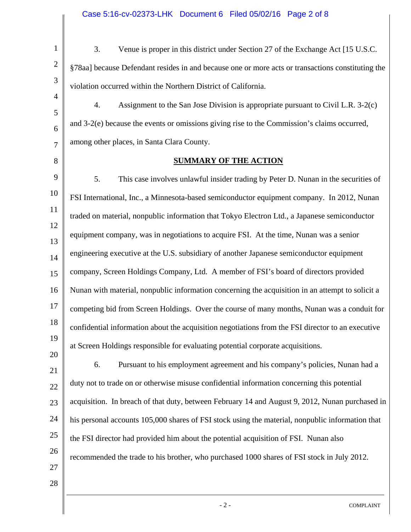| $\mathbf{1}$        | 3.<br>Venue is proper in this district under Section 27 of the Exchange Act [15 U.S.C.            |
|---------------------|---------------------------------------------------------------------------------------------------|
| $\mathbf{2}$        | §78aa] because Defendant resides in and because one or more acts or transactions constituting the |
| 3                   | violation occurred within the Northern District of California.                                    |
| $\overline{4}$<br>5 | Assignment to the San Jose Division is appropriate pursuant to Civil L.R. 3-2(c)<br>4.            |
| 6                   | and 3-2(e) because the events or omissions giving rise to the Commission's claims occurred,       |
| 7                   | among other places, in Santa Clara County.                                                        |
| 8                   | <b>SUMMARY OF THE ACTION</b>                                                                      |
| 9                   | 5.<br>This case involves unlawful insider trading by Peter D. Nunan in the securities of          |
| 10                  | FSI International, Inc., a Minnesota-based semiconductor equipment company. In 2012, Nunan        |
| 11                  | traded on material, nonpublic information that Tokyo Electron Ltd., a Japanese semiconductor      |
| 12                  | equipment company, was in negotiations to acquire FSI. At the time, Nunan was a senior            |
| 13<br>14            | engineering executive at the U.S. subsidiary of another Japanese semiconductor equipment          |
| 15                  | company, Screen Holdings Company, Ltd. A member of FSI's board of directors provided              |
| 16                  | Nunan with material, nonpublic information concerning the acquisition in an attempt to solicit a  |
| 17                  | competing bid from Screen Holdings. Over the course of many months, Nunan was a conduit for       |
| 18                  | confidential information about the acquisition negotiations from the FSI director to an executive |
| 19                  | at Screen Holdings responsible for evaluating potential corporate acquisitions.                   |
| 20                  | Pursuant to his employment agreement and his company's policies, Nunan had a<br>6.                |
| 21<br>22            | duty not to trade on or otherwise misuse confidential information concerning this potential       |
| 23                  | acquisition. In breach of that duty, between February 14 and August 9, 2012, Nunan purchased in   |
| 24                  | his personal accounts 105,000 shares of FSI stock using the material, nonpublic information that  |
| 25                  | the FSI director had provided him about the potential acquisition of FSI. Nunan also              |
| 26                  | recommended the trade to his brother, who purchased 1000 shares of FSI stock in July 2012.        |
| 27                  |                                                                                                   |
| 28                  |                                                                                                   |
|                     | $-2-$<br><b>COMPLAINT</b>                                                                         |

Ш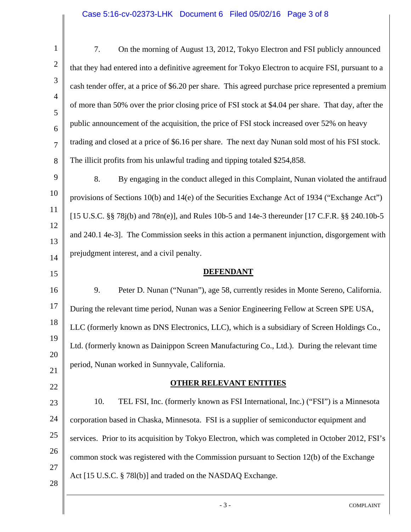## Case 5:16-cv-02373-LHK Document 6 Filed 05/02/16 Page 3 of 8

| 1                                | 7.<br>On the morning of August 13, 2012, Tokyo Electron and FSI publicly announced                  |  |
|----------------------------------|-----------------------------------------------------------------------------------------------------|--|
| 2                                | that they had entered into a definitive agreement for Tokyo Electron to acquire FSI, pursuant to a  |  |
| 3                                | cash tender offer, at a price of \$6.20 per share. This agreed purchase price represented a premium |  |
| $\overline{4}$<br>5              | of more than 50% over the prior closing price of FSI stock at \$4.04 per share. That day, after the |  |
| 6                                | public announcement of the acquisition, the price of FSI stock increased over 52% on heavy          |  |
| 7                                | trading and closed at a price of \$6.16 per share. The next day Nunan sold most of his FSI stock.   |  |
| 8                                | The illicit profits from his unlawful trading and tipping totaled \$254,858.                        |  |
| 9                                | 8.<br>By engaging in the conduct alleged in this Complaint, Nunan violated the antifraud            |  |
| 10                               | provisions of Sections 10(b) and 14(e) of the Securities Exchange Act of 1934 ("Exchange Act")      |  |
| 11                               | [15 U.S.C. §§ 78 $j(b)$ and 78n(e)], and Rules 10b-5 and 14e-3 thereunder [17 C.F.R. §§ 240.10b-5   |  |
| 12                               | and 240.1 4e-3]. The Commission seeks in this action a permanent injunction, disgorgement with      |  |
| 13<br>14                         | prejudgment interest, and a civil penalty.                                                          |  |
| 15                               | <b>DEFENDANT</b>                                                                                    |  |
| 16                               | 9.<br>Peter D. Nunan ("Nunan"), age 58, currently resides in Monte Sereno, California.              |  |
| 17                               | During the relevant time period, Nunan was a Senior Engineering Fellow at Screen SPE USA,           |  |
| 18                               | LLC (formerly known as DNS Electronics, LLC), which is a subsidiary of Screen Holdings Co.,         |  |
| 19                               | Ltd. (formerly known as Dainippon Screen Manufacturing Co., Ltd.). During the relevant time         |  |
| 20                               |                                                                                                     |  |
|                                  | period, Nunan worked in Sunnyvale, California.                                                      |  |
|                                  | <b>OTHER RELEVANT ENTITIES</b>                                                                      |  |
|                                  | TEL FSI, Inc. (formerly known as FSI International, Inc.) ("FSI") is a Minnesota<br>10.             |  |
|                                  | corporation based in Chaska, Minnesota. FSI is a supplier of semiconductor equipment and            |  |
|                                  | services. Prior to its acquisition by Tokyo Electron, which was completed in October 2012, FSI's    |  |
| 21<br>22<br>23<br>24<br>25<br>26 | common stock was registered with the Commission pursuant to Section 12(b) of the Exchange           |  |
| 27<br>28                         | Act [15 U.S.C. § 781(b)] and traded on the NASDAQ Exchange.                                         |  |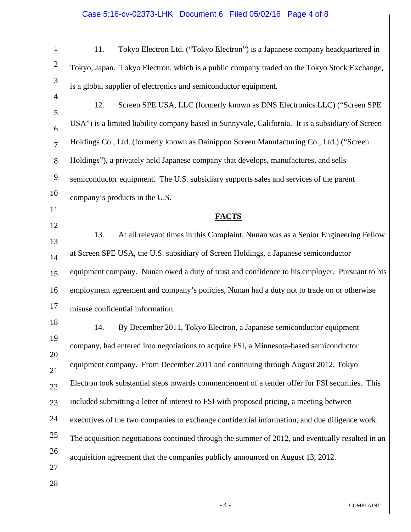| $\mathbf{1}$        | Tokyo Electron Ltd. ("Tokyo Electron") is a Japanese company headquartered in<br>11.              |
|---------------------|---------------------------------------------------------------------------------------------------|
| $\overline{c}$      | Tokyo, Japan. Tokyo Electron, which is a public company traded on the Tokyo Stock Exchange,       |
| 3                   | is a global supplier of electronics and semiconductor equipment.                                  |
| $\overline{4}$<br>5 | 12.<br>Screen SPE USA, LLC (formerly known as DNS Electronics LLC) ("Screen SPE                   |
| 6                   | USA") is a limited liability company based in Sunnyvale, California. It is a subsidiary of Screen |
| $\overline{7}$      | Holdings Co., Ltd. (formerly known as Dainippon Screen Manufacturing Co., Ltd.) ("Screen          |
| 8                   | Holdings"), a privately held Japanese company that develops, manufactures, and sells              |
| 9                   | semiconductor equipment. The U.S. subsidiary supports sales and services of the parent            |
| 10                  | company's products in the U.S.                                                                    |
| 11                  | <b>FACTS</b>                                                                                      |
| 12                  | 13.<br>At all relevant times in this Complaint, Nunan was as a Senior Engineering Fellow          |
| 13<br>14            | at Screen SPE USA, the U.S. subsidiary of Screen Holdings, a Japanese semiconductor               |
| 15                  | equipment company. Nunan owed a duty of trust and confidence to his employer. Pursuant to his     |
| 16                  | employment agreement and company's policies, Nunan had a duty not to trade on or otherwise        |
| 17                  | misuse confidential information.                                                                  |
| 18                  | 14.<br>By December 2011, Tokyo Electron, a Japanese semiconductor equipment                       |
| 19                  | company, had entered into negotiations to acquire FSI, a Minnesota-based semiconductor            |
| 20                  | equipment company. From December 2011 and continuing through August 2012, Tokyo                   |
| 21                  | Electron took substantial steps towards commencement of a tender offer for FSI securities. This   |
| 22<br>23            | included submitting a letter of interest to FSI with proposed pricing, a meeting between          |
| 24                  | executives of the two companies to exchange confidential information, and due diligence work.     |
| 25                  | The acquisition negotiations continued through the summer of 2012, and eventually resulted in an  |
| 26                  | acquisition agreement that the companies publicly announced on August 13, 2012.                   |
| 27                  |                                                                                                   |
| 28                  |                                                                                                   |
|                     | $-4-$<br><b>COMPLAINT</b>                                                                         |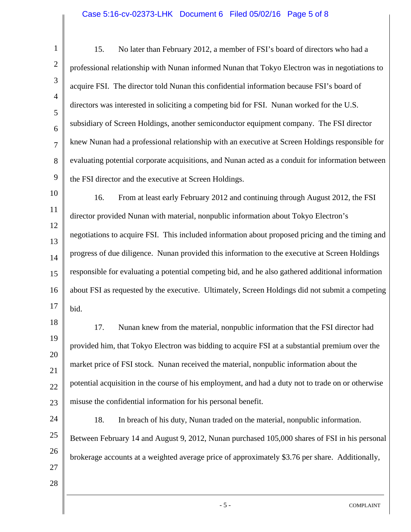## Case 5:16-cv-02373-LHK Document 6 Filed 05/02/16 Page 5 of 8

1 2 3 4 5 6 7 8 9 10 11 12 13 14 15 16 17 18 19 20 21 22 23 24 25 26 27 28 - 5 - COMPLAINT 15. No later than February 2012, a member of FSI's board of directors who had a professional relationship with Nunan informed Nunan that Tokyo Electron was in negotiations to acquire FSI. The director told Nunan this confidential information because FSI's board of directors was interested in soliciting a competing bid for FSI. Nunan worked for the U.S. subsidiary of Screen Holdings, another semiconductor equipment company. The FSI director knew Nunan had a professional relationship with an executive at Screen Holdings responsible for evaluating potential corporate acquisitions, and Nunan acted as a conduit for information between the FSI director and the executive at Screen Holdings. 16. From at least early February 2012 and continuing through August 2012, the FSI director provided Nunan with material, nonpublic information about Tokyo Electron's negotiations to acquire FSI. This included information about proposed pricing and the timing and progress of due diligence. Nunan provided this information to the executive at Screen Holdings responsible for evaluating a potential competing bid, and he also gathered additional information about FSI as requested by the executive. Ultimately, Screen Holdings did not submit a competing bid. 17. Nunan knew from the material, nonpublic information that the FSI director had provided him, that Tokyo Electron was bidding to acquire FSI at a substantial premium over the market price of FSI stock. Nunan received the material, nonpublic information about the potential acquisition in the course of his employment, and had a duty not to trade on or otherwise misuse the confidential information for his personal benefit. 18. In breach of his duty, Nunan traded on the material, nonpublic information. Between February 14 and August 9, 2012, Nunan purchased 105,000 shares of FSI in his personal brokerage accounts at a weighted average price of approximately \$3.76 per share. Additionally,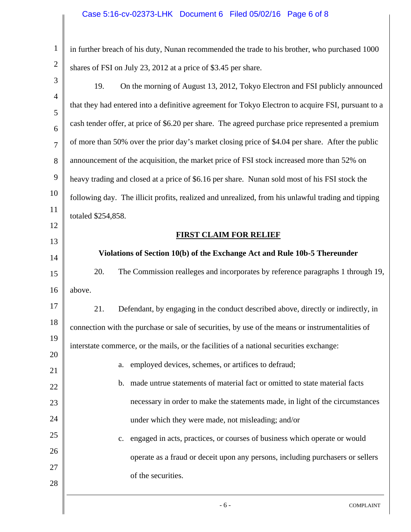1 2 3 4 5 6 7 8 9 10 11 12 13 14 15 16 17 18 19 20 21 22 23 24 25 26 27 28 in further breach of his duty, Nunan recommended the trade to his brother, who purchased 1000 shares of FSI on July 23, 2012 at a price of \$3.45 per share. 19. On the morning of August 13, 2012, Tokyo Electron and FSI publicly announced that they had entered into a definitive agreement for Tokyo Electron to acquire FSI, pursuant to a cash tender offer, at price of \$6.20 per share. The agreed purchase price represented a premium of more than 50% over the prior day's market closing price of \$4.04 per share. After the public announcement of the acquisition, the market price of FSI stock increased more than 52% on heavy trading and closed at a price of \$6.16 per share. Nunan sold most of his FSI stock the following day. The illicit profits, realized and unrealized, from his unlawful trading and tipping totaled \$254,858. **FIRST CLAIM FOR RELIEF Violations of Section 10(b) of the Exchange Act and Rule 10b-5 Thereunder**  20. The Commission realleges and incorporates by reference paragraphs 1 through 19, above. 21. Defendant, by engaging in the conduct described above, directly or indirectly, in connection with the purchase or sale of securities, by use of the means or instrumentalities of interstate commerce, or the mails, or the facilities of a national securities exchange: a. employed devices, schemes, or artifices to defraud; b. made untrue statements of material fact or omitted to state material facts necessary in order to make the statements made, in light of the circumstances under which they were made, not misleading; and/or c. engaged in acts, practices, or courses of business which operate or would operate as a fraud or deceit upon any persons, including purchasers or sellers of the securities.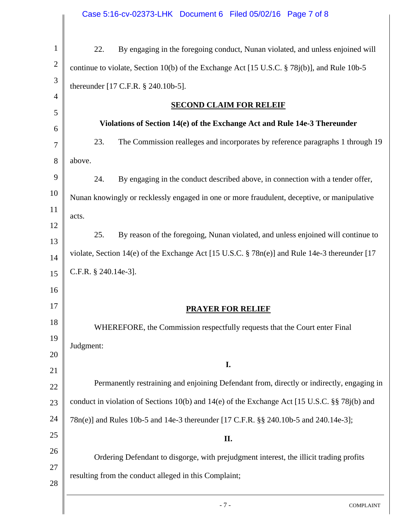|                | Case 5:16-cv-02373-LHK Document 6 Filed 05/02/16 Page 7 of 8                                  |  |
|----------------|-----------------------------------------------------------------------------------------------|--|
|                |                                                                                               |  |
| $\mathbf{1}$   | 22.<br>By engaging in the foregoing conduct, Nunan violated, and unless enjoined will         |  |
| $\overline{2}$ | continue to violate, Section 10(b) of the Exchange Act [15 U.S.C. § 78j(b)], and Rule 10b-5   |  |
| 3              | thereunder [17 C.F.R. § 240.10b-5].                                                           |  |
| $\overline{4}$ | <b>SECOND CLAIM FOR RELEIF</b>                                                                |  |
| 5              | Violations of Section 14(e) of the Exchange Act and Rule 14e-3 Thereunder                     |  |
| 6              | 23.<br>The Commission realleges and incorporates by reference paragraphs 1 through 19         |  |
| 7              |                                                                                               |  |
| 8              | above.                                                                                        |  |
| 9              | 24.<br>By engaging in the conduct described above, in connection with a tender offer,         |  |
| 10             | Nunan knowingly or recklessly engaged in one or more fraudulent, deceptive, or manipulative   |  |
| 11             | acts.                                                                                         |  |
| 12<br>13       | 25.<br>By reason of the foregoing, Nunan violated, and unless enjoined will continue to       |  |
| 14             | violate, Section 14(e) of the Exchange Act [15 U.S.C. § 78n(e)] and Rule 14e-3 thereunder [17 |  |
| 15             | C.F.R. § 240.14e-3].                                                                          |  |
| 16             |                                                                                               |  |
| 17             | <b>PRAYER FOR RELIEF</b>                                                                      |  |
| 18             |                                                                                               |  |
| 19             | WHEREFORE, the Commission respectfully requests that the Court enter Final                    |  |
| 20             | Judgment:                                                                                     |  |
| 21             | I.                                                                                            |  |
| 22             | Permanently restraining and enjoining Defendant from, directly or indirectly, engaging in     |  |
| 23             | conduct in violation of Sections 10(b) and 14(e) of the Exchange Act [15 U.S.C. §§ 78j(b) and |  |
| 24             | 78n(e)] and Rules 10b-5 and 14e-3 thereunder [17 C.F.R. §§ 240.10b-5 and 240.14e-3];          |  |
| 25             | П.                                                                                            |  |
| 26             | Ordering Defendant to disgorge, with prejudgment interest, the illicit trading profits        |  |
| 27             | resulting from the conduct alleged in this Complaint;                                         |  |
| 28             |                                                                                               |  |
|                | $-7-$<br><b>COMPLAINT</b>                                                                     |  |